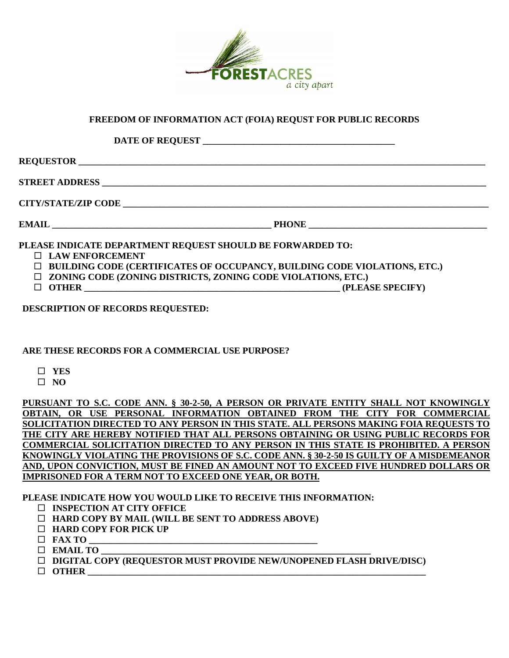

## **FREEDOM OF INFORMATION ACT (FOIA) REQUST FOR PUBLIC RECORDS**

**DATE OF REQUEST \_\_\_\_\_\_\_\_\_\_\_\_\_\_\_\_\_\_\_\_\_\_\_\_\_\_\_\_\_\_\_\_\_\_\_\_\_\_\_\_\_\_** 

**REQUESTOR STREET ADDRESS \_\_\_\_\_\_\_\_\_\_\_\_\_\_\_\_\_\_\_\_\_\_\_\_\_\_\_\_\_\_\_\_\_\_\_\_\_\_\_\_\_\_\_\_\_\_\_\_\_\_\_\_\_\_\_\_\_\_\_\_\_\_\_\_\_\_\_\_\_\_\_\_\_\_\_\_\_\_\_\_\_\_\_\_ CITY/STATE/ZIP CODE \_\_\_\_\_\_\_\_\_\_\_\_\_\_\_\_\_\_\_\_\_\_\_\_\_\_\_\_\_\_\_\_\_\_\_\_\_\_\_\_\_\_\_\_\_\_\_\_\_\_\_\_\_\_\_\_\_\_\_\_\_\_\_\_\_\_\_\_\_\_\_\_\_\_\_\_\_\_\_\_** 

 $\bf{EMAIL}$   $\bf{PHONE}$ 

**PLEASE INDICATE DEPARTMENT REQUEST SHOULD BE FORWARDED TO:** 

- **LAW ENFORCEMENT**
- **BUILDING CODE (CERTIFICATES OF OCCUPANCY, BUILDING CODE VIOLATIONS, ETC.)**
- **ZONING CODE (ZONING DISTRICTS, ZONING CODE VIOLATIONS, ETC.)**
- **OTHER \_\_\_\_\_\_\_\_\_\_\_\_\_\_\_\_\_\_\_\_\_\_\_\_\_\_\_\_\_\_\_\_\_\_\_\_\_\_\_\_\_\_\_\_\_\_\_\_\_\_\_\_\_\_\_\_ (PLEASE SPECIFY)**

**DESCRIPTION OF RECORDS REQUESTED:** 

## **ARE THESE RECORDS FOR A COMMERCIAL USE PURPOSE?**

- **YES**
- $\Box$  NO

 **AND, UPON CONVICTION, MUST BE FINED AN AMOUNT NOT TO EXCEED FIVE HUNDRED DOLLARS OR PURSUANT TO S.C. CODE ANN. § 30-2-50, A PERSON OR PRIVATE ENTITY SHALL NOT KNOWINGLY OBTAIN, OR USE PERSONAL INFORMATION OBTAINED FROM THE CITY FOR COMMERCIAL SOLICITATION DIRECTED TO ANY PERSON IN THIS STATE. ALL PERSONS MAKING FOIA REQUESTS TO THE CITY ARE HEREBY NOTIFIED THAT ALL PERSONS OBTAINING OR USING PUBLIC RECORDS FOR COMMERCIAL SOLICITATION DIRECTED TO ANY PERSON IN THIS STATE IS PROHIBITED. A PERSON KNOWINGLY VIOLATING THE PROVISIONS OF S.C. CODE ANN. § 30-2-50 IS GUILTY OF A MISDEMEANOR IMPRISONED FOR A TERM NOT TO EXCEED ONE YEAR, OR BOTH.** 

**PLEASE INDICATE HOW YOU WOULD LIKE TO RECEIVE THIS INFORMATION:** 

- **INSPECTION AT CITY OFFICE**
- **HARD COPY BY MAIL (WILL BE SENT TO ADDRESS ABOVE)**
- **HARD COPY FOR PICK UP**
- $\Box$  **FAX TO**
- $\Box$  **EMAIL TO**
- **DIGITAL COPY (REQUESTOR MUST PROVIDE NEW/UNOPENED FLASH DRIVE/DISC)**
- **OTHER \_\_\_\_\_\_\_\_\_\_\_\_\_\_\_\_\_\_\_\_\_\_\_\_\_\_\_\_\_\_\_\_\_\_\_\_\_\_\_\_\_\_\_\_\_\_\_\_\_\_\_\_\_\_\_\_\_\_\_\_\_\_\_\_\_\_\_\_\_\_\_\_\_\_**